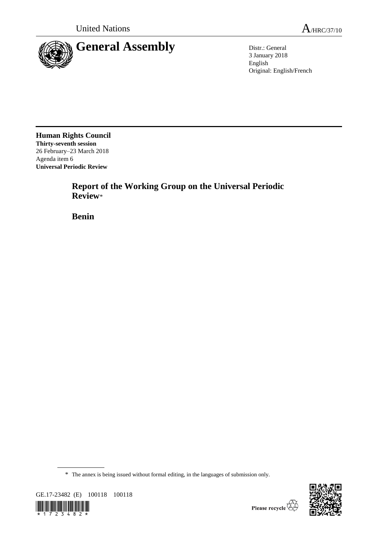

3 January 2018 English Original: English/French

**Human Rights Council Thirty-seventh session** 26 February–23 March 2018 Agenda item 6 **Universal Periodic Review**

> **Report of the Working Group on the Universal Periodic Review**\*

**Benin**

\* The annex is being issued without formal editing, in the languages of submission only.



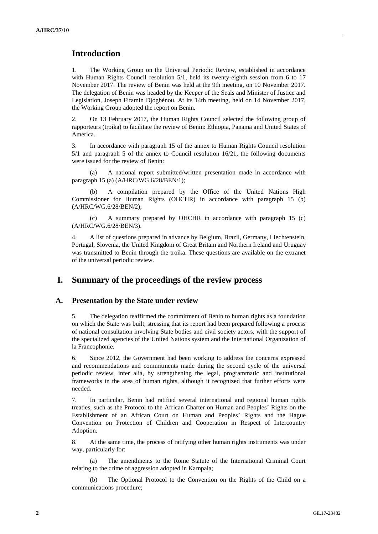# **Introduction**

1. The Working Group on the Universal Periodic Review, established in accordance with Human Rights Council resolution 5/1, held its twenty-eighth session from 6 to 17 November 2017. The review of Benin was held at the 9th meeting, on 10 November 2017. The delegation of Benin was headed by the Keeper of the Seals and Minister of Justice and Legislation, Joseph Fifamin Djogbénou. At its 14th meeting, held on 14 November 2017, the Working Group adopted the report on Benin.

2. On 13 February 2017, the Human Rights Council selected the following group of rapporteurs (troika) to facilitate the review of Benin: Ethiopia, Panama and United States of America.

3. In accordance with paragraph 15 of the annex to Human Rights Council resolution 5/1 and paragraph 5 of the annex to Council resolution 16/21, the following documents were issued for the review of Benin:

(a) A national report submitted/written presentation made in accordance with paragraph 15 (a) (A/HRC/WG.6/28/BEN/1);

A compilation prepared by the Office of the United Nations High Commissioner for Human Rights (OHCHR) in accordance with paragraph 15 (b) (A/HRC/WG.6/28/BEN/2);

(c) A summary prepared by OHCHR in accordance with paragraph 15 (c) (A/HRC/WG.6/28/BEN/3).

4. A list of questions prepared in advance by Belgium, Brazil, Germany, Liechtenstein, Portugal, Slovenia, the United Kingdom of Great Britain and Northern Ireland and Uruguay was transmitted to Benin through the troika. These questions are available on the extranet of the universal periodic review.

# **I. Summary of the proceedings of the review process**

#### **A. Presentation by the State under review**

5. The delegation reaffirmed the commitment of Benin to human rights as a foundation on which the State was built, stressing that its report had been prepared following a process of national consultation involving State bodies and civil society actors, with the support of the specialized agencies of the United Nations system and the International Organization of la Francophonie.

6. Since 2012, the Government had been working to address the concerns expressed and recommendations and commitments made during the second cycle of the universal periodic review, inter alia, by strengthening the legal, programmatic and institutional frameworks in the area of human rights, although it recognized that further efforts were needed.

7. In particular, Benin had ratified several international and regional human rights treaties, such as the Protocol to the African Charter on Human and Peoples' Rights on the Establishment of an African Court on Human and Peoples' Rights and the Hague Convention on Protection of Children and Cooperation in Respect of Intercountry Adoption.

8. At the same time, the process of ratifying other human rights instruments was under way, particularly for:

(a) The amendments to the Rome Statute of the International Criminal Court relating to the crime of aggression adopted in Kampala;

The Optional Protocol to the Convention on the Rights of the Child on a communications procedure;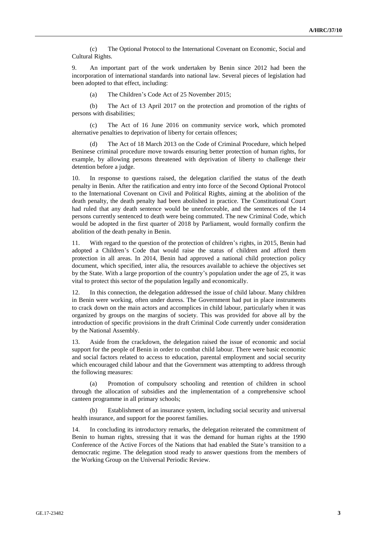(c) The Optional Protocol to the International Covenant on Economic, Social and Cultural Rights.

9. An important part of the work undertaken by Benin since 2012 had been the incorporation of international standards into national law. Several pieces of legislation had been adopted to that effect, including:

(a) The Children's Code Act of 25 November 2015;

(b) The Act of 13 April 2017 on the protection and promotion of the rights of persons with disabilities;

(c) The Act of 16 June 2016 on community service work, which promoted alternative penalties to deprivation of liberty for certain offences;

(d) The Act of 18 March 2013 on the Code of Criminal Procedure, which helped Beninese criminal procedure move towards ensuring better protection of human rights, for example, by allowing persons threatened with deprivation of liberty to challenge their detention before a judge.

10. In response to questions raised, the delegation clarified the status of the death penalty in Benin. After the ratification and entry into force of the Second Optional Protocol to the International Covenant on Civil and Political Rights, aiming at the abolition of the death penalty, the death penalty had been abolished in practice. The Constitutional Court had ruled that any death sentence would be unenforceable, and the sentences of the 14 persons currently sentenced to death were being commuted. The new Criminal Code, which would be adopted in the first quarter of 2018 by Parliament, would formally confirm the abolition of the death penalty in Benin.

11. With regard to the question of the protection of children's rights, in 2015, Benin had adopted a Children's Code that would raise the status of children and afford them protection in all areas. In 2014, Benin had approved a national child protection policy document, which specified, inter alia, the resources available to achieve the objectives set by the State. With a large proportion of the country's population under the age of 25, it was vital to protect this sector of the population legally and economically.

12. In this connection, the delegation addressed the issue of child labour. Many children in Benin were working, often under duress. The Government had put in place instruments to crack down on the main actors and accomplices in child labour, particularly when it was organized by groups on the margins of society. This was provided for above all by the introduction of specific provisions in the draft Criminal Code currently under consideration by the National Assembly.

13. Aside from the crackdown, the delegation raised the issue of economic and social support for the people of Benin in order to combat child labour. There were basic economic and social factors related to access to education, parental employment and social security which encouraged child labour and that the Government was attempting to address through the following measures:

Promotion of compulsory schooling and retention of children in school through the allocation of subsidies and the implementation of a comprehensive school canteen programme in all primary schools;

Establishment of an insurance system, including social security and universal health insurance, and support for the poorest families.

14. In concluding its introductory remarks, the delegation reiterated the commitment of Benin to human rights, stressing that it was the demand for human rights at the 1990 Conference of the Active Forces of the Nations that had enabled the State's transition to a democratic regime. The delegation stood ready to answer questions from the members of the Working Group on the Universal Periodic Review.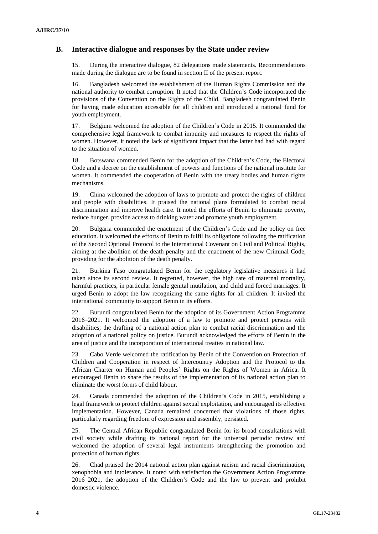### **B. Interactive dialogue and responses by the State under review**

15. During the interactive dialogue, 82 delegations made statements. Recommendations made during the dialogue are to be found in section II of the present report.

16. Bangladesh welcomed the establishment of the Human Rights Commission and the national authority to combat corruption. It noted that the Children's Code incorporated the provisions of the Convention on the Rights of the Child. Bangladesh congratulated Benin for having made education accessible for all children and introduced a national fund for youth employment.

17. Belgium welcomed the adoption of the Children's Code in 2015. It commended the comprehensive legal framework to combat impunity and measures to respect the rights of women. However, it noted the lack of significant impact that the latter had had with regard to the situation of women.

18. Botswana commended Benin for the adoption of the Children's Code, the Electoral Code and a decree on the establishment of powers and functions of the national institute for women. It commended the cooperation of Benin with the treaty bodies and human rights mechanisms.

19. China welcomed the adoption of laws to promote and protect the rights of children and people with disabilities. It praised the national plans formulated to combat racial discrimination and improve health care. It noted the efforts of Benin to eliminate poverty, reduce hunger, provide access to drinking water and promote youth employment.

20. Bulgaria commended the enactment of the Children's Code and the policy on free education. It welcomed the efforts of Benin to fulfil its obligations following the ratification of the Second Optional Protocol to the International Covenant on Civil and Political Rights, aiming at the abolition of the death penalty and the enactment of the new Criminal Code, providing for the abolition of the death penalty.

21. Burkina Faso congratulated Benin for the regulatory legislative measures it had taken since its second review. It regretted, however, the high rate of maternal mortality, harmful practices, in particular female genital mutilation, and child and forced marriages. It urged Benin to adopt the law recognizing the same rights for all children. It invited the international community to support Benin in its efforts.

22. Burundi congratulated Benin for the adoption of its Government Action Programme 2016–2021. It welcomed the adoption of a law to promote and protect persons with disabilities, the drafting of a national action plan to combat racial discrimination and the adoption of a national policy on justice. Burundi acknowledged the efforts of Benin in the area of justice and the incorporation of international treaties in national law.

23. Cabo Verde welcomed the ratification by Benin of the Convention on Protection of Children and Cooperation in respect of Intercountry Adoption and the Protocol to the African Charter on Human and Peoples' Rights on the Rights of Women in Africa. It encouraged Benin to share the results of the implementation of its national action plan to eliminate the worst forms of child labour.

24. Canada commended the adoption of the Children's Code in 2015, establishing a legal framework to protect children against sexual exploitation, and encouraged its effective implementation. However, Canada remained concerned that violations of those rights, particularly regarding freedom of expression and assembly, persisted.

25. The Central African Republic congratulated Benin for its broad consultations with civil society while drafting its national report for the universal periodic review and welcomed the adoption of several legal instruments strengthening the promotion and protection of human rights.

26. Chad praised the 2014 national action plan against racism and racial discrimination, xenophobia and intolerance. It noted with satisfaction the Government Action Programme 2016–2021, the adoption of the Children's Code and the law to prevent and prohibit domestic violence.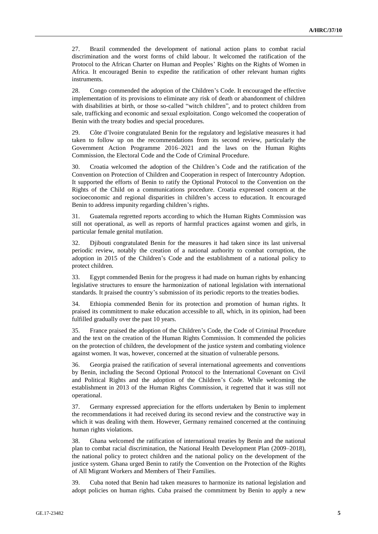27. Brazil commended the development of national action plans to combat racial discrimination and the worst forms of child labour. It welcomed the ratification of the Protocol to the African Charter on Human and Peoples' Rights on the Rights of Women in Africa. It encouraged Benin to expedite the ratification of other relevant human rights instruments.

28. Congo commended the adoption of the Children's Code. It encouraged the effective implementation of its provisions to eliminate any risk of death or abandonment of children with disabilities at birth, or those so-called "witch children", and to protect children from sale, trafficking and economic and sexual exploitation. Congo welcomed the cooperation of Benin with the treaty bodies and special procedures.

29. Côte d'Ivoire congratulated Benin for the regulatory and legislative measures it had taken to follow up on the recommendations from its second review, particularly the Government Action Programme 2016–2021 and the laws on the Human Rights Commission, the Electoral Code and the Code of Criminal Procedure.

30. Croatia welcomed the adoption of the Children's Code and the ratification of the Convention on Protection of Children and Cooperation in respect of Intercountry Adoption. It supported the efforts of Benin to ratify the Optional Protocol to the Convention on the Rights of the Child on a communications procedure. Croatia expressed concern at the socioeconomic and regional disparities in children's access to education. It encouraged Benin to address impunity regarding children's rights.

31. Guatemala regretted reports according to which the Human Rights Commission was still not operational, as well as reports of harmful practices against women and girls, in particular female genital mutilation.

32. Djibouti congratulated Benin for the measures it had taken since its last universal periodic review, notably the creation of a national authority to combat corruption, the adoption in 2015 of the Children's Code and the establishment of a national policy to protect children.

33. Egypt commended Benin for the progress it had made on human rights by enhancing legislative structures to ensure the harmonization of national legislation with international standards. It praised the country's submission of its periodic reports to the treaties bodies.

34. Ethiopia commended Benin for its protection and promotion of human rights. It praised its commitment to make education accessible to all, which, in its opinion, had been fulfilled gradually over the past 10 years.

35. France praised the adoption of the Children's Code, the Code of Criminal Procedure and the text on the creation of the Human Rights Commission. It commended the policies on the protection of children, the development of the justice system and combating violence against women. It was, however, concerned at the situation of vulnerable persons.

36. Georgia praised the ratification of several international agreements and conventions by Benin, including the Second Optional Protocol to the International Covenant on Civil and Political Rights and the adoption of the Children's Code. While welcoming the establishment in 2013 of the Human Rights Commission, it regretted that it was still not operational.

37. Germany expressed appreciation for the efforts undertaken by Benin to implement the recommendations it had received during its second review and the constructive way in which it was dealing with them. However, Germany remained concerned at the continuing human rights violations.

38. Ghana welcomed the ratification of international treaties by Benin and the national plan to combat racial discrimination, the National Health Development Plan (2009–2018), the national policy to protect children and the national policy on the development of the justice system. Ghana urged Benin to ratify the Convention on the Protection of the Rights of All Migrant Workers and Members of Their Families.

39. Cuba noted that Benin had taken measures to harmonize its national legislation and adopt policies on human rights. Cuba praised the commitment by Benin to apply a new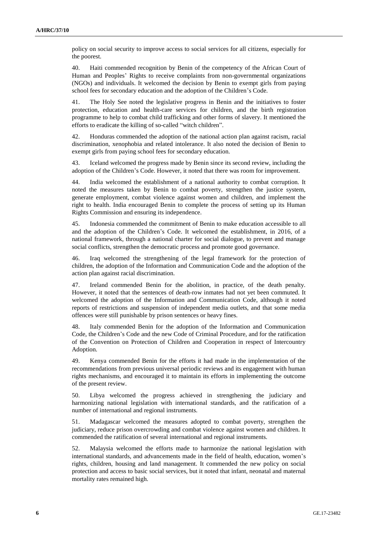policy on social security to improve access to social services for all citizens, especially for the poorest.

40. Haiti commended recognition by Benin of the competency of the African Court of Human and Peoples' Rights to receive complaints from non-governmental organizations (NGOs) and individuals. It welcomed the decision by Benin to exempt girls from paying school fees for secondary education and the adoption of the Children's Code.

41. The Holy See noted the legislative progress in Benin and the initiatives to foster protection, education and health-care services for children, and the birth registration programme to help to combat child trafficking and other forms of slavery. It mentioned the efforts to eradicate the killing of so-called "witch children".

42. Honduras commended the adoption of the national action plan against racism, racial discrimination, xenophobia and related intolerance. It also noted the decision of Benin to exempt girls from paying school fees for secondary education.

43. Iceland welcomed the progress made by Benin since its second review, including the adoption of the Children's Code. However, it noted that there was room for improvement.

44. India welcomed the establishment of a national authority to combat corruption. It noted the measures taken by Benin to combat poverty, strengthen the justice system, generate employment, combat violence against women and children, and implement the right to health. India encouraged Benin to complete the process of setting up its Human Rights Commission and ensuring its independence.

45. Indonesia commended the commitment of Benin to make education accessible to all and the adoption of the Children's Code. It welcomed the establishment, in 2016, of a national framework, through a national charter for social dialogue, to prevent and manage social conflicts, strengthen the democratic process and promote good governance.

46. Iraq welcomed the strengthening of the legal framework for the protection of children, the adoption of the Information and Communication Code and the adoption of the action plan against racial discrimination.

47. Ireland commended Benin for the abolition, in practice, of the death penalty. However, it noted that the sentences of death-row inmates had not yet been commuted. It welcomed the adoption of the Information and Communication Code, although it noted reports of restrictions and suspension of independent media outlets, and that some media offences were still punishable by prison sentences or heavy fines.

48. Italy commended Benin for the adoption of the Information and Communication Code, the Children's Code and the new Code of Criminal Procedure, and for the ratification of the Convention on Protection of Children and Cooperation in respect of Intercountry Adoption.

49. Kenya commended Benin for the efforts it had made in the implementation of the recommendations from previous universal periodic reviews and its engagement with human rights mechanisms, and encouraged it to maintain its efforts in implementing the outcome of the present review.

50. Libya welcomed the progress achieved in strengthening the judiciary and harmonizing national legislation with international standards, and the ratification of a number of international and regional instruments.

51. Madagascar welcomed the measures adopted to combat poverty, strengthen the judiciary, reduce prison overcrowding and combat violence against women and children. It commended the ratification of several international and regional instruments.

52. Malaysia welcomed the efforts made to harmonize the national legislation with international standards, and advancements made in the field of health, education, women's rights, children, housing and land management. It commended the new policy on social protection and access to basic social services, but it noted that infant, neonatal and maternal mortality rates remained high.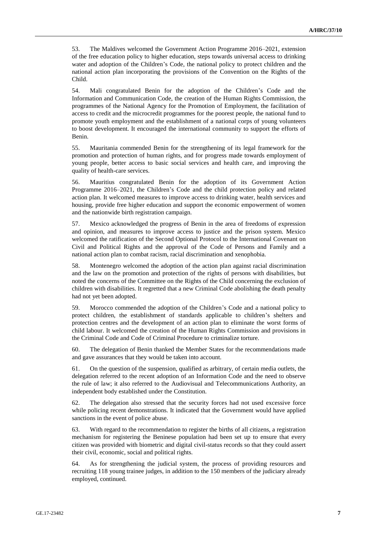53. The Maldives welcomed the Government Action Programme 2016–2021, extension of the free education policy to higher education, steps towards universal access to drinking water and adoption of the Children's Code, the national policy to protect children and the national action plan incorporating the provisions of the Convention on the Rights of the Child.

54. Mali congratulated Benin for the adoption of the Children's Code and the Information and Communication Code, the creation of the Human Rights Commission, the programmes of the National Agency for the Promotion of Employment, the facilitation of access to credit and the microcredit programmes for the poorest people, the national fund to promote youth employment and the establishment of a national corps of young volunteers to boost development. It encouraged the international community to support the efforts of Benin.

55. Mauritania commended Benin for the strengthening of its legal framework for the promotion and protection of human rights, and for progress made towards employment of young people, better access to basic social services and health care, and improving the quality of health-care services.

56. Mauritius congratulated Benin for the adoption of its Government Action Programme 2016–2021, the Children's Code and the child protection policy and related action plan. It welcomed measures to improve access to drinking water, health services and housing, provide free higher education and support the economic empowerment of women and the nationwide birth registration campaign.

57. Mexico acknowledged the progress of Benin in the area of freedoms of expression and opinion, and measures to improve access to justice and the prison system. Mexico welcomed the ratification of the Second Optional Protocol to the International Covenant on Civil and Political Rights and the approval of the Code of Persons and Family and a national action plan to combat racism, racial discrimination and xenophobia.

58. Montenegro welcomed the adoption of the action plan against racial discrimination and the law on the promotion and protection of the rights of persons with disabilities, but noted the concerns of the Committee on the Rights of the Child concerning the exclusion of children with disabilities. It regretted that a new Criminal Code abolishing the death penalty had not yet been adopted.

59. Morocco commended the adoption of the Children's Code and a national policy to protect children, the establishment of standards applicable to children's shelters and protection centres and the development of an action plan to eliminate the worst forms of child labour. It welcomed the creation of the Human Rights Commission and provisions in the Criminal Code and Code of Criminal Procedure to criminalize torture.

60. The delegation of Benin thanked the Member States for the recommendations made and gave assurances that they would be taken into account.

61. On the question of the suspension, qualified as arbitrary, of certain media outlets, the delegation referred to the recent adoption of an Information Code and the need to observe the rule of law; it also referred to the Audiovisual and Telecommunications Authority, an independent body established under the Constitution.

62. The delegation also stressed that the security forces had not used excessive force while policing recent demonstrations. It indicated that the Government would have applied sanctions in the event of police abuse.

63. With regard to the recommendation to register the births of all citizens, a registration mechanism for registering the Beninese population had been set up to ensure that every citizen was provided with biometric and digital civil-status records so that they could assert their civil, economic, social and political rights.

64. As for strengthening the judicial system, the process of providing resources and recruiting 118 young trainee judges, in addition to the 150 members of the judiciary already employed, continued.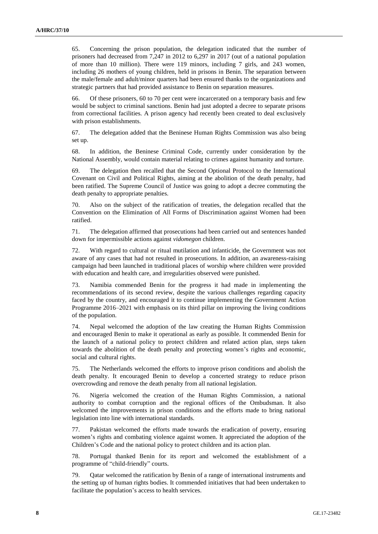65. Concerning the prison population, the delegation indicated that the number of prisoners had decreased from 7,247 in 2012 to 6,297 in 2017 (out of a national population of more than 10 million). There were 119 minors, including 7 girls, and 243 women, including 26 mothers of young children, held in prisons in Benin. The separation between the male/female and adult/minor quarters had been ensured thanks to the organizations and strategic partners that had provided assistance to Benin on separation measures.

66. Of these prisoners, 60 to 70 per cent were incarcerated on a temporary basis and few would be subject to criminal sanctions. Benin had just adopted a decree to separate prisons from correctional facilities. A prison agency had recently been created to deal exclusively with prison establishments.

67. The delegation added that the Beninese Human Rights Commission was also being set up.

68. In addition, the Beninese Criminal Code, currently under consideration by the National Assembly, would contain material relating to crimes against humanity and torture.

69. The delegation then recalled that the Second Optional Protocol to the International Covenant on Civil and Political Rights, aiming at the abolition of the death penalty, had been ratified. The Supreme Council of Justice was going to adopt a decree commuting the death penalty to appropriate penalties.

70. Also on the subject of the ratification of treaties, the delegation recalled that the Convention on the Elimination of All Forms of Discrimination against Women had been ratified.

71. The delegation affirmed that prosecutions had been carried out and sentences handed down for impermissible actions against *vidomegon* children.

72. With regard to cultural or ritual mutilation and infanticide, the Government was not aware of any cases that had not resulted in prosecutions. In addition, an awareness-raising campaign had been launched in traditional places of worship where children were provided with education and health care, and irregularities observed were punished.

73. Namibia commended Benin for the progress it had made in implementing the recommendations of its second review, despite the various challenges regarding capacity faced by the country, and encouraged it to continue implementing the Government Action Programme 2016–2021 with emphasis on its third pillar on improving the living conditions of the population.

74. Nepal welcomed the adoption of the law creating the Human Rights Commission and encouraged Benin to make it operational as early as possible. It commended Benin for the launch of a national policy to protect children and related action plan, steps taken towards the abolition of the death penalty and protecting women's rights and economic, social and cultural rights.

75. The Netherlands welcomed the efforts to improve prison conditions and abolish the death penalty. It encouraged Benin to develop a concerted strategy to reduce prison overcrowding and remove the death penalty from all national legislation.

76. Nigeria welcomed the creation of the Human Rights Commission, a national authority to combat corruption and the regional offices of the Ombudsman. It also welcomed the improvements in prison conditions and the efforts made to bring national legislation into line with international standards.

77. Pakistan welcomed the efforts made towards the eradication of poverty, ensuring women's rights and combating violence against women. It appreciated the adoption of the Children's Code and the national policy to protect children and its action plan.

78. Portugal thanked Benin for its report and welcomed the establishment of a programme of "child-friendly" courts.

79. Qatar welcomed the ratification by Benin of a range of international instruments and the setting up of human rights bodies. It commended initiatives that had been undertaken to facilitate the population's access to health services.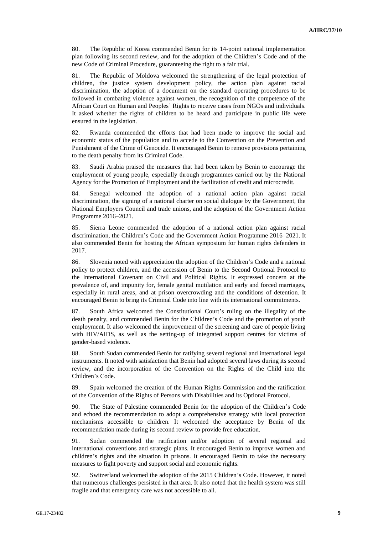80. The Republic of Korea commended Benin for its 14-point national implementation plan following its second review, and for the adoption of the Children's Code and of the new Code of Criminal Procedure, guaranteeing the right to a fair trial.

81. The Republic of Moldova welcomed the strengthening of the legal protection of children, the justice system development policy, the action plan against racial discrimination, the adoption of a document on the standard operating procedures to be followed in combating violence against women, the recognition of the competence of the African Court on Human and Peoples' Rights to receive cases from NGOs and individuals. It asked whether the rights of children to be heard and participate in public life were ensured in the legislation.

82. Rwanda commended the efforts that had been made to improve the social and economic status of the population and to accede to the Convention on the Prevention and Punishment of the Crime of Genocide. It encouraged Benin to remove provisions pertaining to the death penalty from its Criminal Code.

83. Saudi Arabia praised the measures that had been taken by Benin to encourage the employment of young people, especially through programmes carried out by the National Agency for the Promotion of Employment and the facilitation of credit and microcredit.

84. Senegal welcomed the adoption of a national action plan against racial discrimination, the signing of a national charter on social dialogue by the Government, the National Employers Council and trade unions, and the adoption of the Government Action Programme 2016–2021.

85. Sierra Leone commended the adoption of a national action plan against racial discrimination, the Children's Code and the Government Action Programme 2016–2021. It also commended Benin for hosting the African symposium for human rights defenders in 2017.

86. Slovenia noted with appreciation the adoption of the Children's Code and a national policy to protect children, and the accession of Benin to the Second Optional Protocol to the International Covenant on Civil and Political Rights. It expressed concern at the prevalence of, and impunity for, female genital mutilation and early and forced marriages, especially in rural areas, and at prison overcrowding and the conditions of detention. It encouraged Benin to bring its Criminal Code into line with its international commitments.

87. South Africa welcomed the Constitutional Court's ruling on the illegality of the death penalty, and commended Benin for the Children's Code and the promotion of youth employment. It also welcomed the improvement of the screening and care of people living with HIV/AIDS, as well as the setting-up of integrated support centres for victims of gender-based violence.

88. South Sudan commended Benin for ratifying several regional and international legal instruments. It noted with satisfaction that Benin had adopted several laws during its second review, and the incorporation of the Convention on the Rights of the Child into the Children's Code.

89. Spain welcomed the creation of the Human Rights Commission and the ratification of the Convention of the Rights of Persons with Disabilities and its Optional Protocol.

90. The State of Palestine commended Benin for the adoption of the Children's Code and echoed the recommendation to adopt a comprehensive strategy with local protection mechanisms accessible to children. It welcomed the acceptance by Benin of the recommendation made during its second review to provide free education.

91. Sudan commended the ratification and/or adoption of several regional and international conventions and strategic plans. It encouraged Benin to improve women and children's rights and the situation in prisons. It encouraged Benin to take the necessary measures to fight poverty and support social and economic rights.

92. Switzerland welcomed the adoption of the 2015 Children's Code. However, it noted that numerous challenges persisted in that area. It also noted that the health system was still fragile and that emergency care was not accessible to all.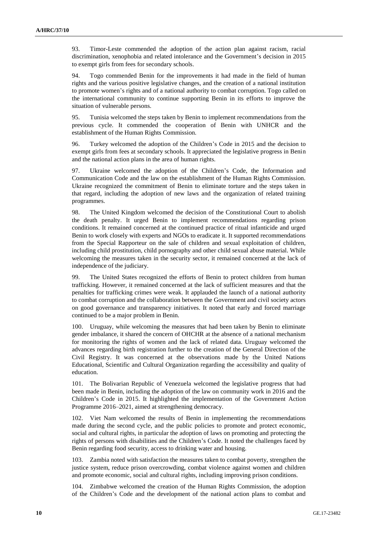93. Timor-Leste commended the adoption of the action plan against racism, racial discrimination, xenophobia and related intolerance and the Government's decision in 2015 to exempt girls from fees for secondary schools.

94. Togo commended Benin for the improvements it had made in the field of human rights and the various positive legislative changes, and the creation of a national institution to promote women's rights and of a national authority to combat corruption. Togo called on the international community to continue supporting Benin in its efforts to improve the situation of vulnerable persons.

95. Tunisia welcomed the steps taken by Benin to implement recommendations from the previous cycle. It commended the cooperation of Benin with UNHCR and the establishment of the Human Rights Commission.

96. Turkey welcomed the adoption of the Children's Code in 2015 and the decision to exempt girls from fees at secondary schools. It appreciated the legislative progress in Benin and the national action plans in the area of human rights.

97. Ukraine welcomed the adoption of the Children's Code, the Information and Communication Code and the law on the establishment of the Human Rights Commission. Ukraine recognized the commitment of Benin to eliminate torture and the steps taken in that regard, including the adoption of new laws and the organization of related training programmes.

98. The United Kingdom welcomed the decision of the Constitutional Court to abolish the death penalty. It urged Benin to implement recommendations regarding prison conditions. It remained concerned at the continued practice of ritual infanticide and urged Benin to work closely with experts and NGOs to eradicate it. It supported recommendations from the Special Rapporteur on the sale of children and sexual exploitation of children, including child prostitution, child pornography and other child sexual abuse material. While welcoming the measures taken in the security sector, it remained concerned at the lack of independence of the judiciary.

99. The United States recognized the efforts of Benin to protect children from human trafficking. However, it remained concerned at the lack of sufficient measures and that the penalties for trafficking crimes were weak. It applauded the launch of a national authority to combat corruption and the collaboration between the Government and civil society actors on good governance and transparency initiatives. It noted that early and forced marriage continued to be a major problem in Benin.

100. Uruguay, while welcoming the measures that had been taken by Benin to eliminate gender imbalance, it shared the concern of OHCHR at the absence of a national mechanism for monitoring the rights of women and the lack of related data. Uruguay welcomed the advances regarding birth registration further to the creation of the General Direction of the Civil Registry. It was concerned at the observations made by the United Nations Educational, Scientific and Cultural Organization regarding the accessibility and quality of education.

101. The Bolivarian Republic of Venezuela welcomed the legislative progress that had been made in Benin, including the adoption of the law on community work in 2016 and the Children's Code in 2015. It highlighted the implementation of the Government Action Programme 2016–2021, aimed at strengthening democracy.

102. Viet Nam welcomed the results of Benin in implementing the recommendations made during the second cycle, and the public policies to promote and protect economic, social and cultural rights, in particular the adoption of laws on promoting and protecting the rights of persons with disabilities and the Children's Code. It noted the challenges faced by Benin regarding food security, access to drinking water and housing.

103. Zambia noted with satisfaction the measures taken to combat poverty, strengthen the justice system, reduce prison overcrowding, combat violence against women and children and promote economic, social and cultural rights, including improving prison conditions.

104. Zimbabwe welcomed the creation of the Human Rights Commission, the adoption of the Children's Code and the development of the national action plans to combat and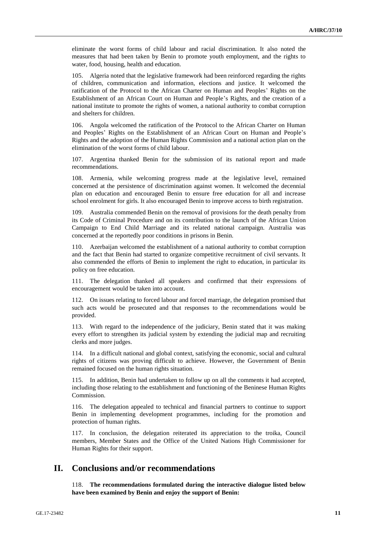eliminate the worst forms of child labour and racial discrimination. It also noted the measures that had been taken by Benin to promote youth employment, and the rights to water, food, housing, health and education.

105. Algeria noted that the legislative framework had been reinforced regarding the rights of children, communication and information, elections and justice. It welcomed the ratification of the Protocol to the African Charter on Human and Peoples' Rights on the Establishment of an African Court on Human and People's Rights, and the creation of a national institute to promote the rights of women, a national authority to combat corruption and shelters for children.

106. Angola welcomed the ratification of the Protocol to the African Charter on Human and Peoples' Rights on the Establishment of an African Court on Human and People's Rights and the adoption of the Human Rights Commission and a national action plan on the elimination of the worst forms of child labour.

107. Argentina thanked Benin for the submission of its national report and made recommendations.

108. Armenia, while welcoming progress made at the legislative level, remained concerned at the persistence of discrimination against women. It welcomed the decennial plan on education and encouraged Benin to ensure free education for all and increase school enrolment for girls. It also encouraged Benin to improve access to birth registration.

109. Australia commended Benin on the removal of provisions for the death penalty from its Code of Criminal Procedure and on its contribution to the launch of the African Union Campaign to End Child Marriage and its related national campaign. Australia was concerned at the reportedly poor conditions in prisons in Benin.

110. Azerbaijan welcomed the establishment of a national authority to combat corruption and the fact that Benin had started to organize competitive recruitment of civil servants. It also commended the efforts of Benin to implement the right to education, in particular its policy on free education.

111. The delegation thanked all speakers and confirmed that their expressions of encouragement would be taken into account.

112. On issues relating to forced labour and forced marriage, the delegation promised that such acts would be prosecuted and that responses to the recommendations would be provided.

113. With regard to the independence of the judiciary, Benin stated that it was making every effort to strengthen its judicial system by extending the judicial map and recruiting clerks and more judges.

114. In a difficult national and global context, satisfying the economic, social and cultural rights of citizens was proving difficult to achieve. However, the Government of Benin remained focused on the human rights situation.

115. In addition, Benin had undertaken to follow up on all the comments it had accepted, including those relating to the establishment and functioning of the Beninese Human Rights Commission.

116. The delegation appealed to technical and financial partners to continue to support Benin in implementing development programmes, including for the promotion and protection of human rights.

117. In conclusion, the delegation reiterated its appreciation to the troika, Council members, Member States and the Office of the United Nations High Commissioner for Human Rights for their support.

## **II. Conclusions and/or recommendations**

118. **The recommendations formulated during the interactive dialogue listed below have been examined by Benin and enjoy the support of Benin:**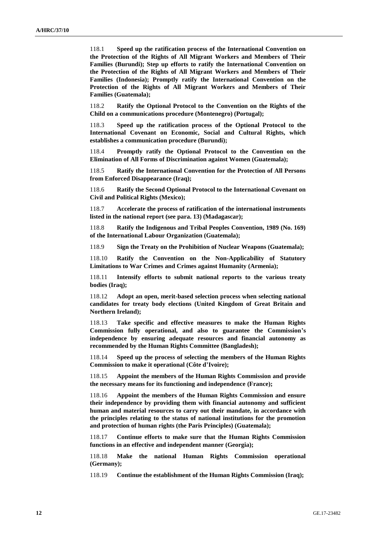118.1 **Speed up the ratification process of the International Convention on the Protection of the Rights of All Migrant Workers and Members of Their Families (Burundi); Step up efforts to ratify the International Convention on the Protection of the Rights of All Migrant Workers and Members of Their Families (Indonesia); Promptly ratify the International Convention on the Protection of the Rights of All Migrant Workers and Members of Their Families (Guatemala);**

118.2 **Ratify the Optional Protocol to the Convention on the Rights of the Child on a communications procedure (Montenegro) (Portugal);**

118.3 **Speed up the ratification process of the Optional Protocol to the International Covenant on Economic, Social and Cultural Rights, which establishes a communication procedure (Burundi);**

118.4 **Promptly ratify the Optional Protocol to the Convention on the Elimination of All Forms of Discrimination against Women (Guatemala);**

118.5 **Ratify the International Convention for the Protection of All Persons from Enforced Disappearance (Iraq);**

118.6 **Ratify the Second Optional Protocol to the International Covenant on Civil and Political Rights (Mexico);**

118.7 **Accelerate the process of ratification of the international instruments listed in the national report (see para. 13) (Madagascar);**

118.8 **Ratify the Indigenous and Tribal Peoples Convention, 1989 (No. 169) of the International Labour Organization (Guatemala);**

118.9 **Sign the Treaty on the Prohibition of Nuclear Weapons (Guatemala);**

118.10 **Ratify the Convention on the Non-Applicability of Statutory Limitations to War Crimes and Crimes against Humanity (Armenia);**

118.11 **Intensify efforts to submit national reports to the various treaty bodies (Iraq);**

118.12 **Adopt an open, merit-based selection process when selecting national candidates for treaty body elections (United Kingdom of Great Britain and Northern Ireland);**

118.13 **Take specific and effective measures to make the Human Rights Commission fully operational, and also to guarantee the Commission's independence by ensuring adequate resources and financial autonomy as recommended by the Human Rights Committee (Bangladesh);**

118.14 **Speed up the process of selecting the members of the Human Rights Commission to make it operational (Côte d'Ivoire);**

118.15 **Appoint the members of the Human Rights Commission and provide the necessary means for its functioning and independence (France);**

118.16 **Appoint the members of the Human Rights Commission and ensure their independence by providing them with financial autonomy and sufficient human and material resources to carry out their mandate, in accordance with the principles relating to the status of national institutions for the promotion and protection of human rights (the Paris Principles) (Guatemala);**

118.17 **Continue efforts to make sure that the Human Rights Commission functions in an effective and independent manner (Georgia);**

118.18 **Make the national Human Rights Commission operational (Germany);**

118.19 **Continue the establishment of the Human Rights Commission (Iraq);**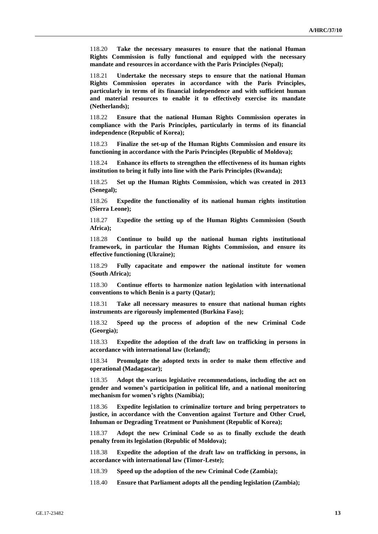118.20 **Take the necessary measures to ensure that the national Human Rights Commission is fully functional and equipped with the necessary mandate and resources in accordance with the Paris Principles (Nepal);**

118.21 **Undertake the necessary steps to ensure that the national Human Rights Commission operates in accordance with the Paris Principles, particularly in terms of its financial independence and with sufficient human and material resources to enable it to effectively exercise its mandate (Netherlands);**

118.22 **Ensure that the national Human Rights Commission operates in compliance with the Paris Principles, particularly in terms of its financial independence (Republic of Korea);**

118.23 **Finalize the set-up of the Human Rights Commission and ensure its functioning in accordance with the Paris Principles (Republic of Moldova);**

118.24 **Enhance its efforts to strengthen the effectiveness of its human rights institution to bring it fully into line with the Paris Principles (Rwanda);**

118.25 **Set up the Human Rights Commission, which was created in 2013 (Senegal);**

118.26 **Expedite the functionality of its national human rights institution (Sierra Leone);**

118.27 **Expedite the setting up of the Human Rights Commission (South Africa);**

118.28 **Continue to build up the national human rights institutional framework, in particular the Human Rights Commission, and ensure its effective functioning (Ukraine);**

118.29 **Fully capacitate and empower the national institute for women (South Africa);**

118.30 **Continue efforts to harmonize nation legislation with international conventions to which Benin is a party (Qatar);**

118.31 **Take all necessary measures to ensure that national human rights instruments are rigorously implemented (Burkina Faso);**

118.32 **Speed up the process of adoption of the new Criminal Code (Georgia);**

118.33 **Expedite the adoption of the draft law on trafficking in persons in accordance with international law (Iceland);**

118.34 **Promulgate the adopted texts in order to make them effective and operational (Madagascar);**

118.35 **Adopt the various legislative recommendations, including the act on gender and women's participation in political life, and a national monitoring mechanism for women's rights (Namibia);**

118.36 **Expedite legislation to criminalize torture and bring perpetrators to justice, in accordance with the Convention against Torture and Other Cruel, Inhuman or Degrading Treatment or Punishment (Republic of Korea);**

118.37 **Adopt the new Criminal Code so as to finally exclude the death penalty from its legislation (Republic of Moldova);**

118.38 **Expedite the adoption of the draft law on trafficking in persons, in accordance with international law (Timor-Leste);**

118.39 **Speed up the adoption of the new Criminal Code (Zambia);**

118.40 **Ensure that Parliament adopts all the pending legislation (Zambia);**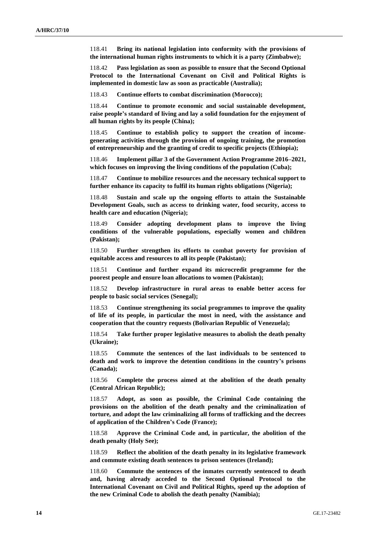118.41 **Bring its national legislation into conformity with the provisions of the international human rights instruments to which it is a party (Zimbabwe);**

118.42 **Pass legislation as soon as possible to ensure that the Second Optional Protocol to the International Covenant on Civil and Political Rights is implemented in domestic law as soon as practicable (Australia);**

118.43 **Continue efforts to combat discrimination (Morocco);**

118.44 **Continue to promote economic and social sustainable development, raise people's standard of living and lay a solid foundation for the enjoyment of all human rights by its people (China);**

118.45 **Continue to establish policy to support the creation of incomegenerating activities through the provision of ongoing training, the promotion of entrepreneurship and the granting of credit to specific projects (Ethiopia);**

118.46 **Implement pillar 3 of the Government Action Programme 2016–2021, which focuses on improving the living conditions of the population (Cuba);**

118.47 **Continue to mobilize resources and the necessary technical support to further enhance its capacity to fulfil its human rights obligations (Nigeria);**

118.48 **Sustain and scale up the ongoing efforts to attain the Sustainable Development Goals, such as access to drinking water, food security, access to health care and education (Nigeria);**

118.49 **Consider adopting development plans to improve the living conditions of the vulnerable populations, especially women and children (Pakistan);**

118.50 **Further strengthen its efforts to combat poverty for provision of equitable access and resources to all its people (Pakistan);**

118.51 **Continue and further expand its microcredit programme for the poorest people and ensure loan allocations to women (Pakistan);**

118.52 **Develop infrastructure in rural areas to enable better access for people to basic social services (Senegal);**

118.53 **Continue strengthening its social programmes to improve the quality of life of its people, in particular the most in need, with the assistance and cooperation that the country requests (Bolivarian Republic of Venezuela);**

118.54 **Take further proper legislative measures to abolish the death penalty (Ukraine);**

118.55 **Commute the sentences of the last individuals to be sentenced to death and work to improve the detention conditions in the country's prisons (Canada);**

118.56 **Complete the process aimed at the abolition of the death penalty (Central African Republic);**

118.57 **Adopt, as soon as possible, the Criminal Code containing the provisions on the abolition of the death penalty and the criminalization of torture, and adopt the law criminalizing all forms of trafficking and the decrees of application of the Children's Code (France);**

118.58 **Approve the Criminal Code and, in particular, the abolition of the death penalty (Holy See);**

118.59 **Reflect the abolition of the death penalty in its legislative framework and commute existing death sentences to prison sentences (Ireland);**

118.60 **Commute the sentences of the inmates currently sentenced to death and, having already acceded to the Second Optional Protocol to the International Covenant on Civil and Political Rights, speed up the adoption of the new Criminal Code to abolish the death penalty (Namibia);**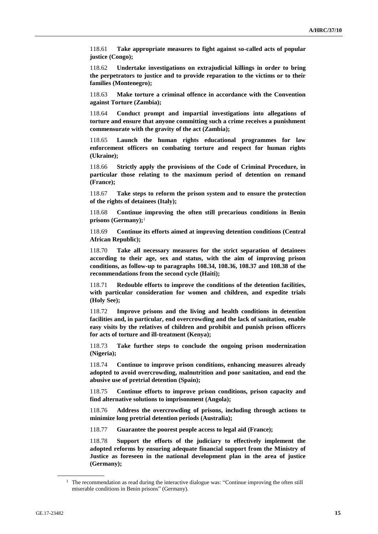118.61 **Take appropriate measures to fight against so-called acts of popular justice (Congo);**

118.62 **Undertake investigations on extrajudicial killings in order to bring the perpetrators to justice and to provide reparation to the victims or to their families (Montenegro);**

118.63 **Make torture a criminal offence in accordance with the Convention against Torture (Zambia);**

118.64 **Conduct prompt and impartial investigations into allegations of torture and ensure that anyone committing such a crime receives a punishment commensurate with the gravity of the act (Zambia);**

118.65 **Launch the human rights educational programmes for law enforcement officers on combating torture and respect for human rights (Ukraine);**

118.66 **Strictly apply the provisions of the Code of Criminal Procedure, in particular those relating to the maximum period of detention on remand (France);**

118.67 **Take steps to reform the prison system and to ensure the protection of the rights of detainees (Italy);**

118.68 **Continue improving the often still precarious conditions in Benin prisons (Germany);**<sup>1</sup>

118.69 **Continue its efforts aimed at improving detention conditions (Central African Republic);**

118.70 **Take all necessary measures for the strict separation of detainees according to their age, sex and status, with the aim of improving prison conditions, as follow-up to paragraphs 108.34, 108.36, 108.37 and 108.38 of the recommendations from the second cycle (Haiti);**

118.71 **Redouble efforts to improve the conditions of the detention facilities, with particular consideration for women and children, and expedite trials (Holy See);**

118.72 **Improve prisons and the living and health conditions in detention facilities and, in particular, end overcrowding and the lack of sanitation, enable easy visits by the relatives of children and prohibit and punish prison officers for acts of torture and ill-treatment (Kenya);**

118.73 **Take further steps to conclude the ongoing prison modernization (Nigeria);**

118.74 **Continue to improve prison conditions, enhancing measures already adopted to avoid overcrowding, malnutrition and poor sanitation, and end the abusive use of pretrial detention (Spain);**

118.75 **Continue efforts to improve prison conditions, prison capacity and find alternative solutions to imprisonment (Angola);**

118.76 **Address the overcrowding of prisons, including through actions to minimize long pretrial detention periods (Australia);**

118.77 **Guarantee the poorest people access to legal aid (France);**

118.78 **Support the efforts of the judiciary to effectively implement the adopted reforms by ensuring adequate financial support from the Ministry of Justice as foreseen in the national development plan in the area of justice (Germany);**

 $1$  The recommendation as read during the interactive dialogue was: "Continue improving the often still miserable conditions in Benin prisons" (Germany).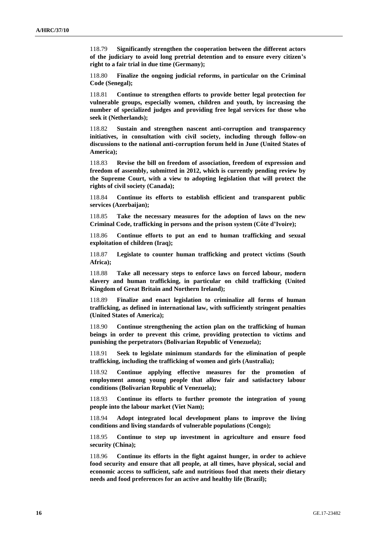118.79 **Significantly strengthen the cooperation between the different actors of the judiciary to avoid long pretrial detention and to ensure every citizen's right to a fair trial in due time (Germany);**

118.80 **Finalize the ongoing judicial reforms, in particular on the Criminal Code (Senegal);**

118.81 **Continue to strengthen efforts to provide better legal protection for vulnerable groups, especially women, children and youth, by increasing the number of specialized judges and providing free legal services for those who seek it (Netherlands);**

118.82 **Sustain and strengthen nascent anti-corruption and transparency initiatives, in consultation with civil society, including through follow-on discussions to the national anti-corruption forum held in June (United States of America);**

118.83 **Revise the bill on freedom of association, freedom of expression and freedom of assembly, submitted in 2012, which is currently pending review by the Supreme Court, with a view to adopting legislation that will protect the rights of civil society (Canada);**

118.84 **Continue its efforts to establish efficient and transparent public services (Azerbaijan);**

118.85 **Take the necessary measures for the adoption of laws on the new Criminal Code, trafficking in persons and the prison system (Côte d'Ivoire);**

118.86 **Continue efforts to put an end to human trafficking and sexual exploitation of children (Iraq);**

118.87 **Legislate to counter human trafficking and protect victims (South Africa);**

118.88 **Take all necessary steps to enforce laws on forced labour, modern slavery and human trafficking, in particular on child trafficking (United Kingdom of Great Britain and Northern Ireland);**

118.89 **Finalize and enact legislation to criminalize all forms of human trafficking, as defined in international law, with sufficiently stringent penalties (United States of America);**

118.90 **Continue strengthening the action plan on the trafficking of human beings in order to prevent this crime, providing protection to victims and punishing the perpetrators (Bolivarian Republic of Venezuela);**

118.91 **Seek to legislate minimum standards for the elimination of people trafficking, including the trafficking of women and girls (Australia);**

118.92 **Continue applying effective measures for the promotion of employment among young people that allow fair and satisfactory labour conditions (Bolivarian Republic of Venezuela);**

118.93 **Continue its efforts to further promote the integration of young people into the labour market (Viet Nam);**

118.94 **Adopt integrated local development plans to improve the living conditions and living standards of vulnerable populations (Congo);**

118.95 **Continue to step up investment in agriculture and ensure food security (China);**

118.96 **Continue its efforts in the fight against hunger, in order to achieve food security and ensure that all people, at all times, have physical, social and economic access to sufficient, safe and nutritious food that meets their dietary needs and food preferences for an active and healthy life (Brazil);**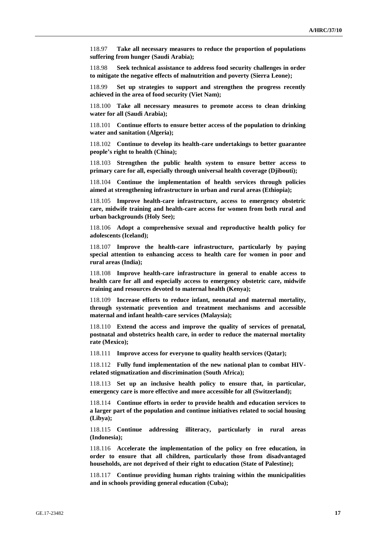118.97 **Take all necessary measures to reduce the proportion of populations suffering from hunger (Saudi Arabia);**

118.98 **Seek technical assistance to address food security challenges in order to mitigate the negative effects of malnutrition and poverty (Sierra Leone);**

118.99 **Set up strategies to support and strengthen the progress recently achieved in the area of food security (Viet Nam);**

118.100 **Take all necessary measures to promote access to clean drinking water for all (Saudi Arabia);**

118.101 **Continue efforts to ensure better access of the population to drinking water and sanitation (Algeria);**

118.102 **Continue to develop its health-care undertakings to better guarantee people's right to health (China);**

118.103 **Strengthen the public health system to ensure better access to primary care for all, especially through universal health coverage (Djibouti);**

118.104 **Continue the implementation of health services through policies aimed at strengthening infrastructure in urban and rural areas (Ethiopia);**

118.105 **Improve health-care infrastructure, access to emergency obstetric care, midwife training and health-care access for women from both rural and urban backgrounds (Holy See);**

118.106 **Adopt a comprehensive sexual and reproductive health policy for adolescents (Iceland);**

118.107 **Improve the health-care infrastructure, particularly by paying special attention to enhancing access to health care for women in poor and rural areas (India);**

118.108 **Improve health-care infrastructure in general to enable access to health care for all and especially access to emergency obstetric care, midwife training and resources devoted to maternal health (Kenya);**

118.109 **Increase efforts to reduce infant, neonatal and maternal mortality, through systematic prevention and treatment mechanisms and accessible maternal and infant health-care services (Malaysia);**

118.110 **Extend the access and improve the quality of services of prenatal, postnatal and obstetrics health care, in order to reduce the maternal mortality rate (Mexico);**

118.111 **Improve access for everyone to quality health services (Qatar);**

118.112 **Fully fund implementation of the new national plan to combat HIVrelated stigmatization and discrimination (South Africa);**

118.113 **Set up an inclusive health policy to ensure that, in particular, emergency care is more effective and more accessible for all (Switzerland);**

118.114 **Continue efforts in order to provide health and education services to a larger part of the population and continue initiatives related to social housing (Libya);**

118.115 **Continue addressing illiteracy, particularly in rural areas (Indonesia);**

118.116 **Accelerate the implementation of the policy on free education, in order to ensure that all children, particularly those from disadvantaged households, are not deprived of their right to education (State of Palestine);**

118.117 **Continue providing human rights training within the municipalities and in schools providing general education (Cuba);**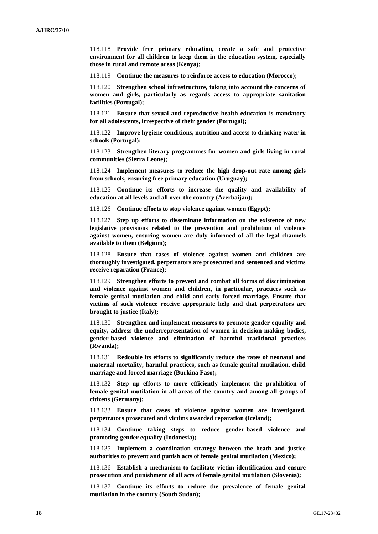118.118 **Provide free primary education, create a safe and protective environment for all children to keep them in the education system, especially those in rural and remote areas (Kenya);**

118.119 **Continue the measures to reinforce access to education (Morocco);**

118.120 **Strengthen school infrastructure, taking into account the concerns of women and girls, particularly as regards access to appropriate sanitation facilities (Portugal);**

118.121 **Ensure that sexual and reproductive health education is mandatory for all adolescents, irrespective of their gender (Portugal);**

118.122 **Improve hygiene conditions, nutrition and access to drinking water in schools (Portugal);**

118.123 **Strengthen literary programmes for women and girls living in rural communities (Sierra Leone);**

118.124 **Implement measures to reduce the high drop-out rate among girls from schools, ensuring free primary education (Uruguay);**

118.125 **Continue its efforts to increase the quality and availability of education at all levels and all over the country (Azerbaijan);**

118.126 **Continue efforts to stop violence against women (Egypt);**

118.127 **Step up efforts to disseminate information on the existence of new legislative provisions related to the prevention and prohibition of violence against women, ensuring women are duly informed of all the legal channels available to them (Belgium);**

118.128 **Ensure that cases of violence against women and children are thoroughly investigated, perpetrators are prosecuted and sentenced and victims receive reparation (France);**

118.129 **Strengthen efforts to prevent and combat all forms of discrimination and violence against women and children, in particular, practices such as female genital mutilation and child and early forced marriage. Ensure that victims of such violence receive appropriate help and that perpetrators are brought to justice (Italy);**

118.130 **Strengthen and implement measures to promote gender equality and equity, address the underrepresentation of women in decision-making bodies, gender-based violence and elimination of harmful traditional practices (Rwanda);**

118.131 **Redouble its efforts to significantly reduce the rates of neonatal and maternal mortality, harmful practices, such as female genital mutilation, child marriage and forced marriage (Burkina Faso);**

118.132 **Step up efforts to more efficiently implement the prohibition of female genital mutilation in all areas of the country and among all groups of citizens (Germany);**

118.133 **Ensure that cases of violence against women are investigated, perpetrators prosecuted and victims awarded reparation (Iceland);**

118.134 **Continue taking steps to reduce gender-based violence and promoting gender equality (Indonesia);**

118.135 **Implement a coordination strategy between the heath and justice authorities to prevent and punish acts of female genital mutilation (Mexico);**

118.136 **Establish a mechanism to facilitate victim identification and ensure prosecution and punishment of all acts of female genital mutilation (Slovenia);**

118.137 **Continue its efforts to reduce the prevalence of female genital mutilation in the country (South Sudan);**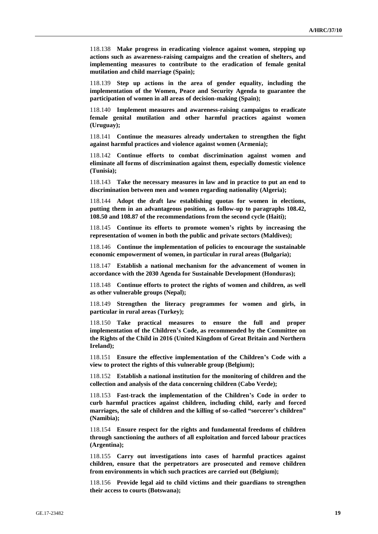118.138 **Make progress in eradicating violence against women, stepping up actions such as awareness-raising campaigns and the creation of shelters, and implementing measures to contribute to the eradication of female genital mutilation and child marriage (Spain);**

118.139 **Step up actions in the area of gender equality, including the implementation of the Women, Peace and Security Agenda to guarantee the participation of women in all areas of decision-making (Spain);**

118.140 **Implement measures and awareness-raising campaigns to eradicate female genital mutilation and other harmful practices against women (Uruguay);**

118.141 **Continue the measures already undertaken to strengthen the fight against harmful practices and violence against women (Armenia);**

118.142 **Continue efforts to combat discrimination against women and eliminate all forms of discrimination against them, especially domestic violence (Tunisia);**

118.143 **Take the necessary measures in law and in practice to put an end to discrimination between men and women regarding nationality (Algeria);**

118.144 **Adopt the draft law establishing quotas for women in elections, putting them in an advantageous position, as follow-up to paragraphs 108.42, 108.50 and 108.87 of the recommendations from the second cycle (Haiti);**

118.145 **Continue its efforts to promote women's rights by increasing the representation of women in both the public and private sectors (Maldives);**

118.146 **Continue the implementation of policies to encourage the sustainable economic empowerment of women, in particular in rural areas (Bulgaria);**

118.147 **Establish a national mechanism for the advancement of women in accordance with the 2030 Agenda for Sustainable Development (Honduras);**

118.148 **Continue efforts to protect the rights of women and children, as well as other vulnerable groups (Nepal);**

118.149 **Strengthen the literacy programmes for women and girls, in particular in rural areas (Turkey);**

118.150 **Take practical measures to ensure the full and proper implementation of the Children's Code, as recommended by the Committee on the Rights of the Child in 2016 (United Kingdom of Great Britain and Northern Ireland);**

118.151 **Ensure the effective implementation of the Children's Code with a view to protect the rights of this vulnerable group (Belgium);**

118.152 **Establish a national institution for the monitoring of children and the collection and analysis of the data concerning children (Cabo Verde);**

118.153 **Fast-track the implementation of the Children's Code in order to curb harmful practices against children, including child, early and forced marriages, the sale of children and the killing of so-called "sorcerer's children" (Namibia);**

118.154 **Ensure respect for the rights and fundamental freedoms of children through sanctioning the authors of all exploitation and forced labour practices (Argentina);**

118.155 **Carry out investigations into cases of harmful practices against children, ensure that the perpetrators are prosecuted and remove children from environments in which such practices are carried out (Belgium);**

118.156 **Provide legal aid to child victims and their guardians to strengthen their access to courts (Botswana);**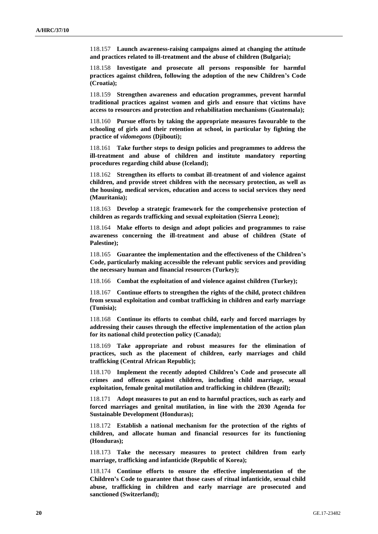118.157 **Launch awareness-raising campaigns aimed at changing the attitude and practices related to ill-treatment and the abuse of children (Bulgaria);**

118.158 **Investigate and prosecute all persons responsible for harmful practices against children, following the adoption of the new Children's Code (Croatia);**

118.159 **Strengthen awareness and education programmes, prevent harmful traditional practices against women and girls and ensure that victims have access to resources and protection and rehabilitation mechanisms (Guatemala);**

118.160 **Pursue efforts by taking the appropriate measures favourable to the schooling of girls and their retention at school, in particular by fighting the practice of** *vidomegons* **(Djibouti);**

118.161 **Take further steps to design policies and programmes to address the ill-treatment and abuse of children and institute mandatory reporting procedures regarding child abuse (Iceland);**

118.162 **Strengthen its efforts to combat ill-treatment of and violence against children, and provide street children with the necessary protection, as well as the housing, medical services, education and access to social services they need (Mauritania);**

118.163 **Develop a strategic framework for the comprehensive protection of children as regards trafficking and sexual exploitation (Sierra Leone);**

118.164 **Make efforts to design and adopt policies and programmes to raise awareness concerning the ill-treatment and abuse of children (State of Palestine);**

118.165 **Guarantee the implementation and the effectiveness of the Children's Code, particularly making accessible the relevant public services and providing the necessary human and financial resources (Turkey);**

118.166 **Combat the exploitation of and violence against children (Turkey);**

118.167 **Continue efforts to strengthen the rights of the child, protect children from sexual exploitation and combat trafficking in children and early marriage (Tunisia);**

118.168 **Continue its efforts to combat child, early and forced marriages by addressing their causes through the effective implementation of the action plan for its national child protection policy (Canada);**

118.169 **Take appropriate and robust measures for the elimination of practices, such as the placement of children, early marriages and child trafficking (Central African Republic);**

118.170 **Implement the recently adopted Children's Code and prosecute all crimes and offences against children, including child marriage, sexual exploitation, female genital mutilation and trafficking in children (Brazil);**

118.171 **Adopt measures to put an end to harmful practices, such as early and forced marriages and genital mutilation, in line with the 2030 Agenda for Sustainable Development (Honduras);**

118.172 **Establish a national mechanism for the protection of the rights of children, and allocate human and financial resources for its functioning (Honduras);**

118.173 **Take the necessary measures to protect children from early marriage, trafficking and infanticide (Republic of Korea);**

118.174 **Continue efforts to ensure the effective implementation of the Children's Code to guarantee that those cases of ritual infanticide, sexual child abuse, trafficking in children and early marriage are prosecuted and sanctioned (Switzerland);**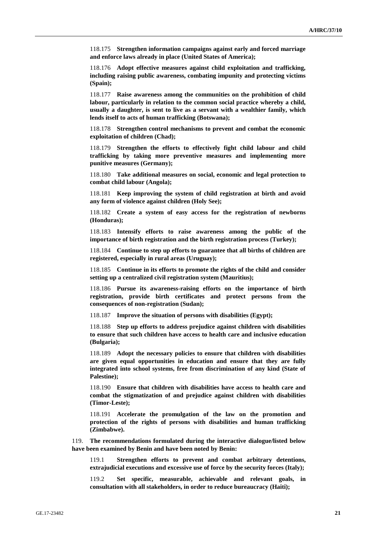118.175 **Strengthen information campaigns against early and forced marriage and enforce laws already in place (United States of America);**

118.176 **Adopt effective measures against child exploitation and trafficking, including raising public awareness, combating impunity and protecting victims (Spain);**

118.177 **Raise awareness among the communities on the prohibition of child labour, particularly in relation to the common social practice whereby a child, usually a daughter, is sent to live as a servant with a wealthier family, which lends itself to acts of human trafficking (Botswana);**

118.178 **Strengthen control mechanisms to prevent and combat the economic exploitation of children (Chad);**

118.179 **Strengthen the efforts to effectively fight child labour and child trafficking by taking more preventive measures and implementing more punitive measures (Germany);**

118.180 **Take additional measures on social, economic and legal protection to combat child labour (Angola);**

118.181 **Keep improving the system of child registration at birth and avoid any form of violence against children (Holy See);**

118.182 **Create a system of easy access for the registration of newborns (Honduras);**

118.183 **Intensify efforts to raise awareness among the public of the importance of birth registration and the birth registration process (Turkey);**

118.184 **Continue to step up efforts to guarantee that all births of children are registered, especially in rural areas (Uruguay);**

118.185 **Continue in its efforts to promote the rights of the child and consider setting up a centralized civil registration system (Mauritius);**

118.186 **Pursue its awareness-raising efforts on the importance of birth registration, provide birth certificates and protect persons from the consequences of non-registration (Sudan);**

118.187 **Improve the situation of persons with disabilities (Egypt);**

118.188 **Step up efforts to address prejudice against children with disabilities to ensure that such children have access to health care and inclusive education (Bulgaria);**

118.189 **Adopt the necessary policies to ensure that children with disabilities are given equal opportunities in education and ensure that they are fully integrated into school systems, free from discrimination of any kind (State of Palestine);**

118.190 **Ensure that children with disabilities have access to health care and combat the stigmatization of and prejudice against children with disabilities (Timor-Leste);**

118.191 **Accelerate the promulgation of the law on the promotion and protection of the rights of persons with disabilities and human trafficking (Zimbabwe).**

119. **The recommendations formulated during the interactive dialogue/listed below have been examined by Benin and have been noted by Benin:**

119.1 **Strengthen efforts to prevent and combat arbitrary detentions, extrajudicial executions and excessive use of force by the security forces (Italy);**

119.2 **Set specific, measurable, achievable and relevant goals, in consultation with all stakeholders, in order to reduce bureaucracy (Haiti);**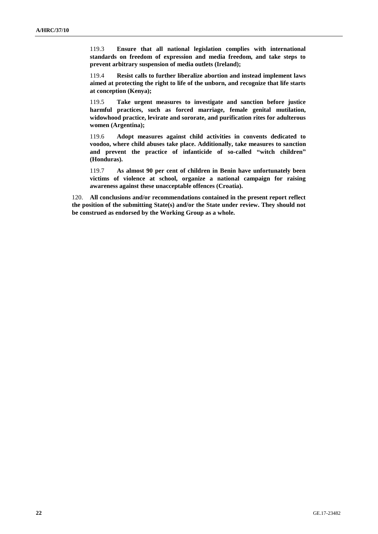119.3 **Ensure that all national legislation complies with international standards on freedom of expression and media freedom, and take steps to prevent arbitrary suspension of media outlets (Ireland);**

119.4 **Resist calls to further liberalize abortion and instead implement laws aimed at protecting the right to life of the unborn, and recognize that life starts at conception (Kenya);**

119.5 **Take urgent measures to investigate and sanction before justice harmful practices, such as forced marriage, female genital mutilation, widowhood practice, levirate and sororate, and purification rites for adulterous women (Argentina);**

119.6 **Adopt measures against child activities in convents dedicated to voodoo, where child abuses take place. Additionally, take measures to sanction and prevent the practice of infanticide of so-called "witch children" (Honduras).**

119.7 **As almost 90 per cent of children in Benin have unfortunately been victims of violence at school, organize a national campaign for raising awareness against these unacceptable offences (Croatia).**

120. **All conclusions and/or recommendations contained in the present report reflect the position of the submitting State(s) and/or the State under review. They should not be construed as endorsed by the Working Group as a whole.**